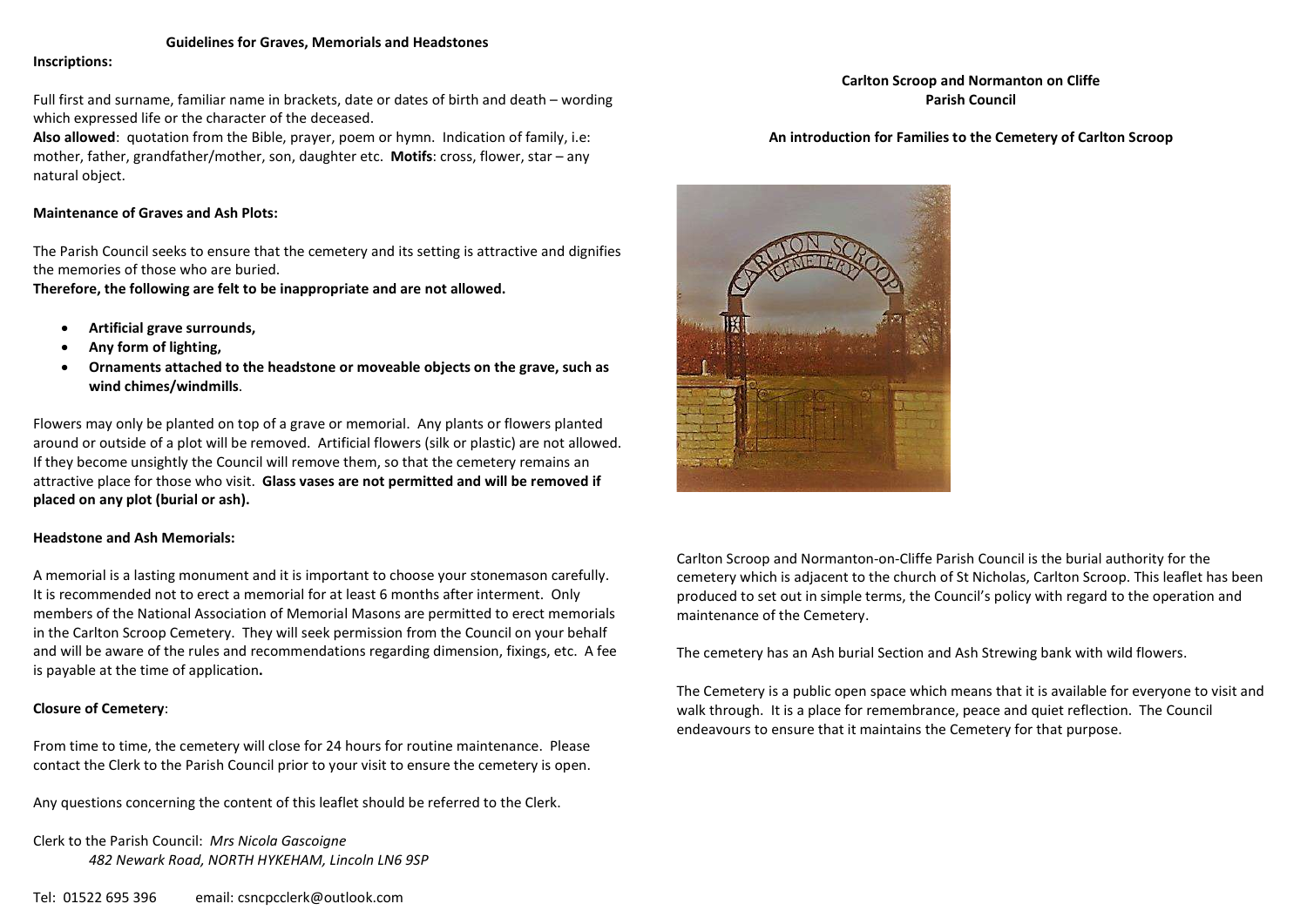### Guidelines for Graves, Memorials and Headstones

### Inscriptions:

Full first and surname, familiar name in brackets, date or dates of birth and death – wording which expressed life or the character of the deceased.

Also allowed: quotation from the Bible, prayer, poem or hymn. Indication of family, i.e: mother, father, grandfather/mother, son, daughter etc. Motifs: cross, flower, star – any natural object.

### Maintenance of Graves and Ash Plots:

The Parish Council seeks to ensure that the cemetery and its setting is attractive and dignifies the memories of those who are buried.

Therefore, the following are felt to be inappropriate and are not allowed.

- Artificial grave surrounds,
- Any form of lighting,
- Ornaments attached to the headstone or moveable objects on the grave, such as wind chimes/windmills.

Flowers may only be planted on top of a grave or memorial. Any plants or flowers planted around or outside of a plot will be removed. Artificial flowers (silk or plastic) are not allowed. If they become unsightly the Council will remove them, so that the cemetery remains an attractive place for those who visit. Glass vases are not permitted and will be removed if placed on any plot (burial or ash).

## Headstone and Ash Memorials:

A memorial is a lasting monument and it is important to choose your stonemason carefully. It is recommended not to erect a memorial for at least 6 months after interment. Only members of the National Association of Memorial Masons are permitted to erect memorials in the Carlton Scroop Cemetery. They will seek permission from the Council on your behalf and will be aware of the rules and recommendations regarding dimension, fixings, etc. A fee is payable at the time of application.

## Closure of Cemetery:

From time to time, the cemetery will close for 24 hours for routine maintenance. Please contact the Clerk to the Parish Council prior to your visit to ensure the cemetery is open.

Any questions concerning the content of this leaflet should be referred to the Clerk.

Clerk to the Parish Council: Mrs Nicola Gascoigne 482 Newark Road, NORTH HYKEHAM, Lincoln LN6 9SP

# Carlton Scroop and Normanton on Cliffe Parish Council

## An introduction for Families to the Cemetery of Carlton Scroop



Carlton Scroop and Normanton-on-Cliffe Parish Council is the burial authority for the cemetery which is adjacent to the church of St Nicholas, Carlton Scroop. This leaflet has been produced to set out in simple terms, the Council's policy with regard to the operation and maintenance of the Cemetery.

The cemetery has an Ash burial Section and Ash Strewing bank with wild flowers.

The Cemetery is a public open space which means that it is available for everyone to visit and walk through. It is a place for remembrance, peace and quiet reflection. The Council endeavours to ensure that it maintains the Cemetery for that purpose.